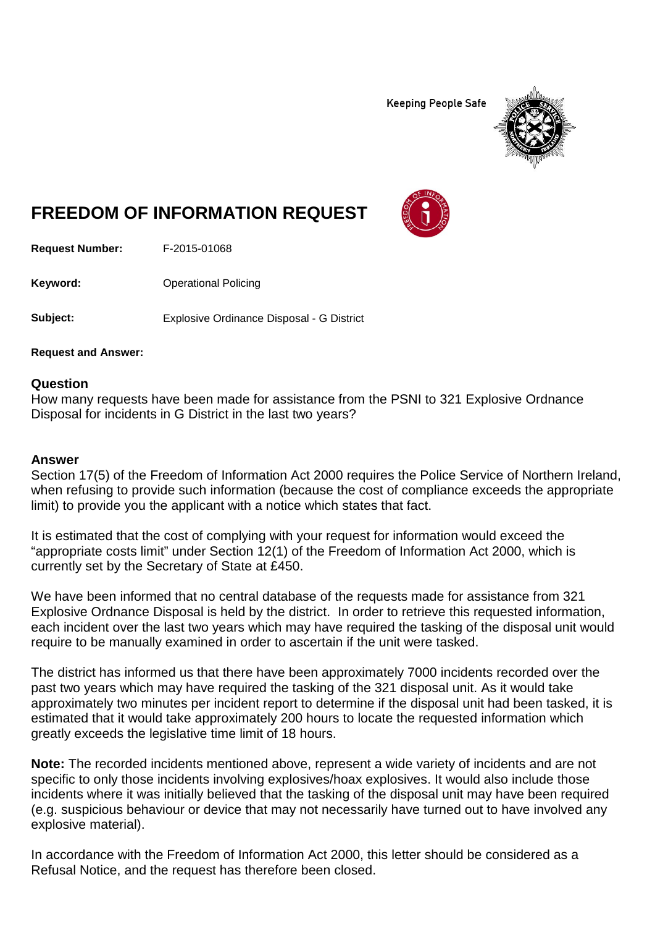**Keeping People Safe** 



## **FREEDOM OF INFORMATION REQUEST**

**Request Number:** F-2015-01068

**Keyword:** Operational Policing

**Subject:** Explosive Ordinance Disposal - G District

**Request and Answer:**

## **Question**

How many requests have been made for assistance from the PSNI to 321 Explosive Ordnance Disposal for incidents in G District in the last two years?

## **Answer**

Section 17(5) of the Freedom of Information Act 2000 requires the Police Service of Northern Ireland, when refusing to provide such information (because the cost of compliance exceeds the appropriate limit) to provide you the applicant with a notice which states that fact.

It is estimated that the cost of complying with your request for information would exceed the "appropriate costs limit" under Section 12(1) of the Freedom of Information Act 2000, which is currently set by the Secretary of State at £450.

We have been informed that no central database of the requests made for assistance from 321 Explosive Ordnance Disposal is held by the district. In order to retrieve this requested information, each incident over the last two years which may have required the tasking of the disposal unit would require to be manually examined in order to ascertain if the unit were tasked.

The district has informed us that there have been approximately 7000 incidents recorded over the past two years which may have required the tasking of the 321 disposal unit. As it would take approximately two minutes per incident report to determine if the disposal unit had been tasked, it is estimated that it would take approximately 200 hours to locate the requested information which greatly exceeds the legislative time limit of 18 hours.

**Note:** The recorded incidents mentioned above, represent a wide variety of incidents and are not specific to only those incidents involving explosives/hoax explosives. It would also include those incidents where it was initially believed that the tasking of the disposal unit may have been required (e.g. suspicious behaviour or device that may not necessarily have turned out to have involved any explosive material).

In accordance with the Freedom of Information Act 2000, this letter should be considered as a Refusal Notice, and the request has therefore been closed.